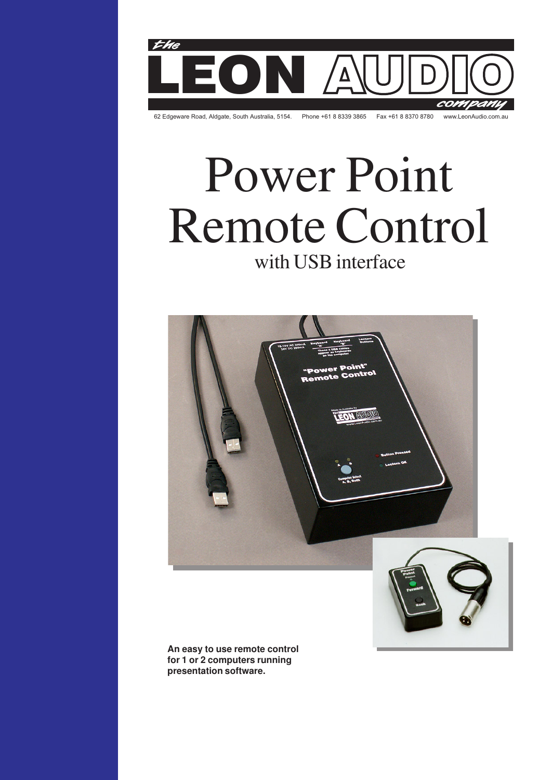

# Power Point Remote Control with USB interface





**An easy to use remote control for 1 or 2 computers running presentation software.**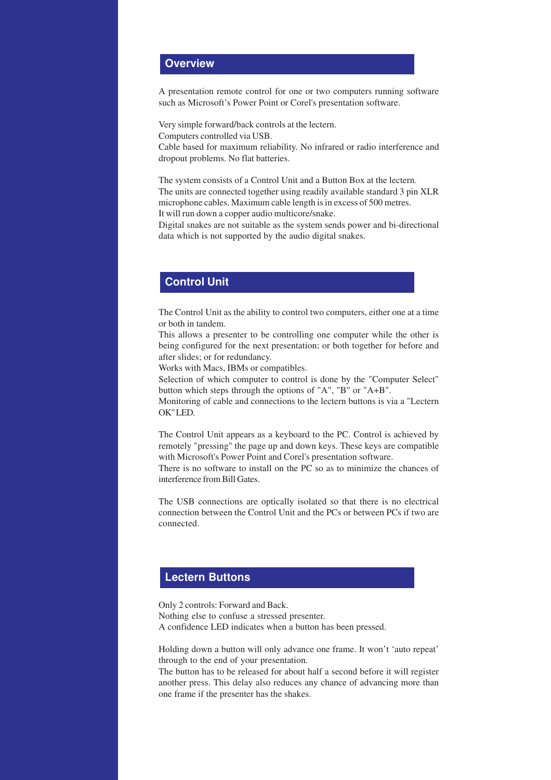## **Overview**

A presentation remote control for one or two computers running software such as Microsoft's Power Point or Corel's presentation software.

Very simple forward/back controls at the lectern. Computers controlled via USB. Cable based for maximum reliability. No infrared or radio interference and dropout problems. No flat batteries.

The system consists of a Control Unit and a Button Box at the lectern. The units are connected together using readily available standard 3 pin XLR microphone cables. Maximum cable length is in excess of 500 metres. It will run down a copper audio multicore/snake.

Digital snakes are not suitable as the system sends power and bi-directional data which is not supported by the audio digital snakes.

# **Control Unit**

The Control Unit as the ability to control two computers, either one at a time or both in tandem.

This allows a presenter to be controlling one computer while the other is being configured for the next presentation; or both together for before and after slides; or for redundancy.

Works with Macs, IBMs or compatibles.

Selection of which computer to control is done by the "Computer Select" button which steps through the options of "A", "B" or "A+B".

Monitoring of cable and connections to the lectern buttons is via a "Lectern OK" LED.

The Control Unit appears as a keyboard to the PC. Control is achieved by remotely "pressing" the page up and down keys. These keys are compatible with Microsoft's Power Point and Corel's presentation software.

There is no software to install on the PC so as to minimize the chances of interference from Bill Gates.

The USB connections are optically isolated so that there is no electrical connection between the Control Unit and the PCs or between PCs if two are connected.

## **Lectern Buttons**

Only 2 controls: Forward and Back. Nothing else to confuse a stressed presenter. A confidence LED indicates when a button has been pressed.

Holding down a button will only advance one frame. It won't 'auto repeat' through to the end of your presentation.

The button has to be released for about half a second before it will register another press. This delay also reduces any chance of advancing more than one frame if the presenter has the shakes.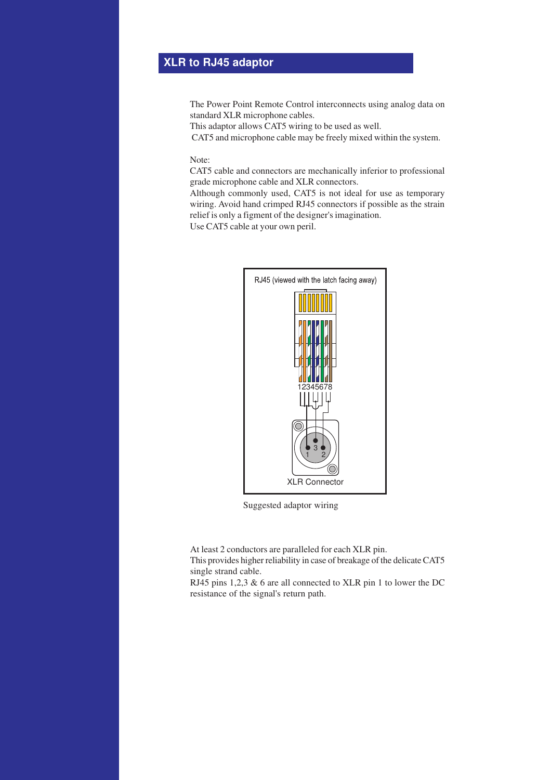# **XLR to RJ45 adaptor**

The Power Point Remote Control interconnects using analog data on standard XLR microphone cables.

This adaptor allows CAT5 wiring to be used as well.

CAT5 and microphone cable may be freely mixed within the system.

Note:

CAT5 cable and connectors are mechanically inferior to professional grade microphone cable and XLR connectors.

Although commonly used, CAT5 is not ideal for use as temporary wiring. Avoid hand crimped RJ45 connectors if possible as the strain relief is only a figment of the designer's imagination.

Use CAT5 cable at your own peril.



Suggested adaptor wiring

At least 2 conductors are paralleled for each XLR pin. This provides higher reliability in case of breakage of the delicate CAT5 single strand cable.

RJ45 pins 1,2,3 & 6 are all connected to XLR pin 1 to lower the DC resistance of the signal's return path.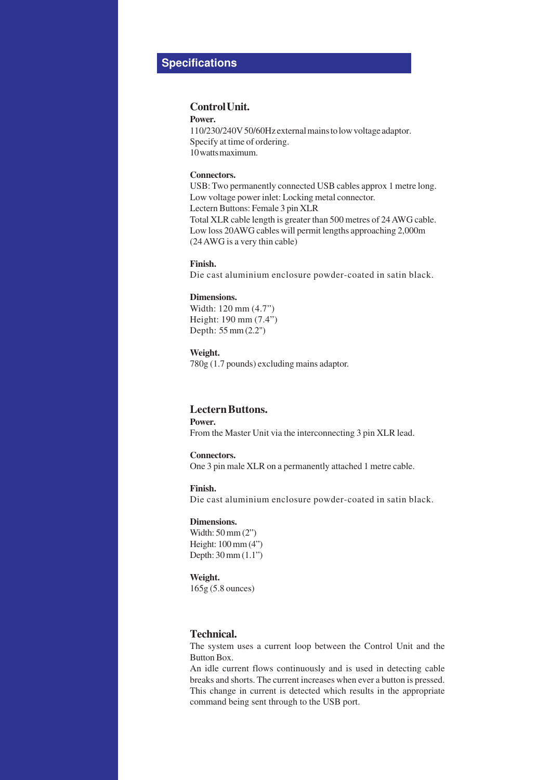# **Specifications**

### **Control Unit.**

**Power.**

110/230/240V 50/60Hz external mains to low voltage adaptor. Specify at time of ordering. 10 watts maximum.

#### **Connectors.**

USB: Two permanently connected USB cables approx 1 metre long. Low voltage power inlet: Locking metal connector. Lectern Buttons: Female 3 pin XLR Total XLR cable length is greater than 500 metres of 24 AWG cable. Low loss 20AWG cables will permit lengths approaching 2,000m (24 AWG is a very thin cable)

**Finish.**

Die cast aluminium enclosure powder-coated in satin black.

#### **Dimensions.**

Width: 120 mm (4.7") Height: 190 mm (7.4") Depth: 55 mm (2.2")

**Weight.**

780g (1.7 pounds) excluding mains adaptor.

## **Lectern Buttons.**

**Power.** From the Master Unit via the interconnecting 3 pin XLR lead.

#### **Connectors.**

One 3 pin male XLR on a permanently attached 1 metre cable.

**Finish.**

Die cast aluminium enclosure powder-coated in satin black.

#### **Dimensions.**

Width: 50 mm (2") Height: 100 mm (4") Depth: 30 mm (1.1")

#### **Weight.**

165g (5.8 ounces)

## **Technical.**

The system uses a current loop between the Control Unit and the Button Box.

An idle current flows continuously and is used in detecting cable breaks and shorts. The current increases when ever a button is pressed. This change in current is detected which results in the appropriate command being sent through to the USB port.